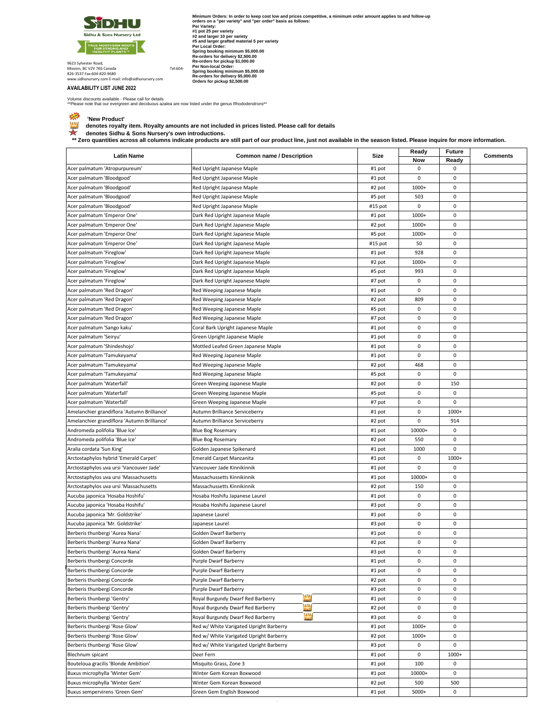

Minimum Orders: In order to keep cost low and prices competitive, a minimum order amount applies to and follow-up<br>Portages on a "per variety" and "per order" basis as follows:<br>#1 pt 25 per variety:<br>#2 and larger grafted ma

9623 Sylvester Road, Mission, BC V2V 7K6 Canada<br>826-3537 Fax:604-820-9680<br>www.sidhunursery.com E-mail: info@sidhunursery.com

## **AVAILABILITY LIST JUNE 2022**

Volume discounts available - Please call for details



 $\Gamma$ 

\*\*Please note that our evergreen and deciduous azalea are now listed under the genus Rhododendrons\*\*

 **'New Product' denotes royalty item. Royalty amounts are not included in prices listed. Please call for details** 

ॅंबी denotes Sidhu & Sons Nursery's own introductions.<br>\*\* Zero quantities across all columns indicate products are still part of our product line, just not available in the season listed. Please inquire for more informa

| <b>Latin Name</b>                           | <b>Common name / Description</b>                | Size    | Ready       | Future | <b>Comments</b> |
|---------------------------------------------|-------------------------------------------------|---------|-------------|--------|-----------------|
|                                             |                                                 |         | Now         | Ready  |                 |
| Acer palmatum 'Atropurpureum'               | Red Upright Japanese Maple                      | #1 pot  | 0           | 0      |                 |
| Acer palmatum 'Bloodgood'                   | Red Upright Japanese Maple                      | #1 pot  | 0           | 0      |                 |
| Acer palmatum 'Bloodgood'                   | Red Upright Japanese Maple                      | #2 pot  | 1000+       | 0      |                 |
| Acer palmatum 'Bloodgood'                   | Red Upright Japanese Maple                      | #5 pot  | 503         | 0      |                 |
| Acer palmatum 'Bloodgood'                   | Red Upright Japanese Maple                      | #15 pot | 0           | 0      |                 |
| Acer palmatum 'Emperor One'                 | Dark Red Upright Japanese Maple                 | #1 pot  | 1000+       | 0      |                 |
| Acer palmatum 'Emperor One'                 | Dark Red Upright Japanese Maple                 | #2 pot  | 1000+       | 0      |                 |
| Acer palmatum 'Emperor One'                 | Dark Red Upright Japanese Maple                 | #5 pot  | 1000+       | 0      |                 |
| Acer palmatum 'Emperor One'                 | Dark Red Upright Japanese Maple                 | #15 pot | 50          | 0      |                 |
| Acer palmatum 'Fireglow'                    | Dark Red Upright Japanese Maple                 | #1 pot  | 928         | 0      |                 |
| Acer palmatum 'Fireglow'                    | Dark Red Upright Japanese Maple                 | #2 pot  | 1000+       | 0      |                 |
| Acer palmatum 'Fireglow'                    | Dark Red Upright Japanese Maple                 | #5 pot  | 993         | 0      |                 |
| Acer palmatum 'Fireglow'                    | Dark Red Upright Japanese Maple                 | #7 pot  | 0           | 0      |                 |
| Acer palmatum 'Red Dragon'                  | Red Weeping Japanese Maple                      | #1 pot  | 0           | 0      |                 |
| Acer palmatum 'Red Dragon'                  | Red Weeping Japanese Maple                      | #2 pot  | 809         | 0      |                 |
| Acer palmatum 'Red Dragon'                  | Red Weeping Japanese Maple                      | #5 pot  | 0           | 0      |                 |
| Acer palmatum 'Red Dragon'                  | Red Weeping Japanese Maple                      | #7 pot  | 0           | 0      |                 |
| Acer palmatum 'Sango kaku'                  | Coral Bark Upright Japanese Maple               | #1 pot  | 0           | 0      |                 |
| Acer palmatum 'Seiryu'                      | Green Upright Japanese Maple                    |         | 0           | 0      |                 |
|                                             |                                                 | #1 pot  |             |        |                 |
| Acer palmatum 'Shindeshojo'                 | Mottled Leafed Green Japanese Maple             | #1 pot  | 0           | 0      |                 |
| Acer palmatum 'Tamukeyama'                  | Red Weeping Japanese Maple                      | #1 pot  | 0           | 0      |                 |
| Acer palmatum 'Tamukeyama'                  | Red Weeping Japanese Maple                      | #2 pot  | 468         | 0      |                 |
| Acer palmatum 'Tamukeyama'                  | Red Weeping Japanese Maple                      | #5 pot  | 0           | 0      |                 |
| Acer palmatum 'Waterfall'                   | Green Weeping Japanese Maple                    | #2 pot  | 0           | 150    |                 |
| Acer palmatum 'Waterfall'                   | Green Weeping Japanese Maple                    | #5 pot  | 0           | 0      |                 |
| Acer palmatum 'Waterfall'                   | Green Weeping Japanese Maple                    | #7 pot  | 0           | 0      |                 |
| Amelanchier grandiflora 'Autumn Brilliance' | Autumn Brilliance Serviceberry                  | #1 pot  | 0           | 1000+  |                 |
| Amelanchier grandiflora 'Autumn Brilliance' | Autumn Brilliance Serviceberry                  | #2 pot  | 0           | 914    |                 |
| Andromeda polifolia 'Blue Ice'              | <b>Blue Bog Rosemary</b>                        | #1 pot  | 10000+      | 0      |                 |
| Andromeda polifolia 'Blue Ice'              | <b>Blue Bog Rosemary</b>                        | #2 pot  | 550         | 0      |                 |
| Aralia cordata 'Sun King'                   | Golden Japanese Spikenard                       | #1 pot  | 1000        | 0      |                 |
| Arctostaphylos hybrid 'Emerald Carpet'      | <b>Emerald Carpet Manzanita</b>                 | #1 pot  | 0           | 1000+  |                 |
| Arctostaphylos uva ursi 'Vancouver Jade'    | Vancouver Jade Kinnikinnik                      | #1 pot  | 0           | 0      |                 |
| Arctostaphylos uva ursi 'Massachusetts      | Massachussetts Kinnikinnik                      | #1 pot  | 10000+      | 0      |                 |
| Arctostaphylos uva ursi 'Massachusetts      | Massachussetts Kinnikinnik                      | #2 pot  | 150         | 0      |                 |
| Aucuba japonica 'Hosaba Hoshifu'            | Hosaba Hoshifu Japanese Laurel                  | #1 pot  | 0           | 0      |                 |
| Aucuba japonica 'Hosaba Hoshifu'            | Hosaba Hoshifu Japanese Laurel                  | #3 pot  | 0           | 0      |                 |
| Aucuba japonica 'Mr. Goldstrike'            | Japanese Laurel                                 | #1 pot  | 0           | 0      |                 |
| Aucuba japonica 'Mr. Goldstrike'            | Japanese Laurel                                 | #3 pot  | 0           | 0      |                 |
| Berberis thunbergi 'Aurea Nana'             | Golden Dwarf Barberry                           | #1 pot  | 0           | 0      |                 |
| Berberis thunbergi 'Aurea Nana'             | Golden Dwarf Barberry                           | #2 pot  | 0           | 0      |                 |
| Berberis thunbergi 'Aurea Nana'             | Golden Dwarf Barberry                           | #3 pot  | 0           | 0      |                 |
| Berberis thunbergi Concorde                 | Purple Dwarf Barberry                           | #1 pot  | 0           | 0      |                 |
| Berberis thunbergi Concorde                 | Purple Dwarf Barberry                           | #1 pot  | 0           | 0      |                 |
| Berberis thunbergi Concorde                 | Purple Dwarf Barberry                           | #2 pot  | 0           | 0      |                 |
| Berberis thunbergi Concorde                 | Purple Dwarf Barberry                           | #3 pot  | 0           | 0      |                 |
| Berberis thunbergi 'Gentry'                 | Royal Burgundy Dwarf Red Barberry               | #1 pot  | 0           | 0      |                 |
| Berberis thunbergi 'Gentry'                 | <b>TAN</b><br>Royal Burgundy Dwarf Red Barberry | #2 pot  | 0           | 0      |                 |
| Berberis thunbergi 'Gentry'                 | <b>MA</b><br>Royal Burgundy Dwarf Red Barberry  | #3 pot  | $\mathsf 0$ | 0      |                 |
| Berberis thunbergi 'Rose Glow'              | Red w/ White Varigated Upright Barberry         | #1 pot  | 1000+       | 0      |                 |
| Berberis thunbergi 'Rose Glow'              | Red w/ White Varigated Upright Barberry         | #2 pot  | 1000+       | 0      |                 |
| Berberis thunbergi 'Rose Glow'              | Red w/ White Varigated Upright Barberry         | #3 pot  | 0           | 0      |                 |
| Blechnum spicant                            | Deer Fern                                       | #1 pot  | 0           | 1000+  |                 |
| Bouteloua gracilis 'Blonde Ambition'        | Misquito Grass, Zone 3                          | #1 pot  | 100         | 0      |                 |
| Buxus microphylla 'Winter Gem'              | Winter Gem Korean Boxwood                       | #1 pot  | 10000+      | 0      |                 |
| Buxus microphylla 'Winter Gem'              | Winter Gem Korean Boxwood                       | #2 pot  | 500         | 500    |                 |
| Buxus sempervirens 'Green Gem'              | Green Gem English Boxwood                       | #1 pot  | 5000+       | 0      |                 |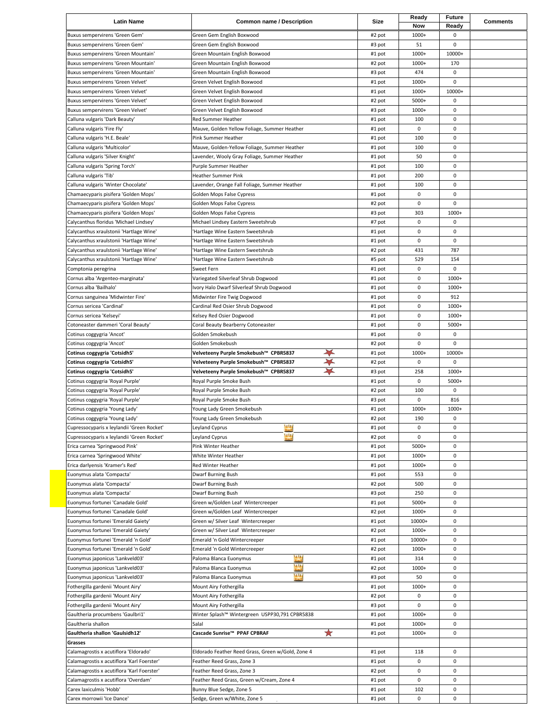| <b>Latin Name</b>                                                        | <b>Common name / Description</b>                             | Size             | Ready          | <b>Future</b> | <b>Comments</b> |
|--------------------------------------------------------------------------|--------------------------------------------------------------|------------------|----------------|---------------|-----------------|
|                                                                          |                                                              |                  | Now            | Ready         |                 |
| Buxus sempervirens 'Green Gem'                                           | Green Gem English Boxwood                                    | #2 pot           | 1000+          | 0             |                 |
| Buxus sempervirens 'Green Gem'                                           | Green Gem English Boxwood                                    | #3 pot           | 51             | $\mathbf 0$   |                 |
| Buxus sempervirens 'Green Mountain'                                      | Green Mountain English Boxwood                               | #1 pot           | 1000+          | 10000+        |                 |
| Buxus sempervirens 'Green Mountain'                                      | Green Mountain English Boxwood                               | #2 pot           | 1000+          | 170           |                 |
| Buxus sempervirens 'Green Mountain'<br>Buxus sempervirens 'Green Velvet' | Green Mountain English Boxwood                               | #3 pot<br>#1 pot | 474<br>1000+   | 0<br>0        |                 |
| Buxus sempervirens 'Green Velvet'                                        | Green Velvet English Boxwood<br>Green Velvet English Boxwood | #1 pot           | 1000+          | 10000+        |                 |
| Buxus sempervirens 'Green Velvet'                                        | Green Velvet English Boxwood                                 | #2 pot           | 5000+          | 0             |                 |
| Buxus sempervirens 'Green Velvet'                                        | Green Velvet English Boxwood                                 | #3 pot           | 1000+          | 0             |                 |
| Calluna vulgaris 'Dark Beauty'                                           | <b>Red Summer Heather</b>                                    | #1 pot           | 100            | 0             |                 |
| Calluna vulgaris 'Fire Fly'                                              | Mauve, Golden Yellow Foliage, Summer Heather                 | #1 pot           | $\mathbf 0$    | 0             |                 |
| Calluna vulgaris 'H.E. Beale'                                            | Pink Summer Heather                                          | #1 pot           | 100            | 0             |                 |
| Calluna vulgaris 'Multicolor'                                            | Mauve, Golden-Yellow Foliage, Summer Heather                 | #1 pot           | 100            | 0             |                 |
| Calluna vulgaris 'Silver Knight'                                         | Lavender, Wooly Gray Foliage, Summer Heather                 | #1 pot           | 50             | 0             |                 |
| Calluna vulgaris 'Spring Torch'                                          | Purple Summer Heather                                        | #1 pot           | 100            | $\mathbf 0$   |                 |
| Calluna vulgaris 'Tib'                                                   | <b>Heather Summer Pink</b>                                   | #1 pot           | 200            | $\mathbf 0$   |                 |
| Calluna vulgaris 'Winter Chocolate'                                      | Lavender, Orange Fall Foliage, Summer Heather                | #1 pot           | 100            | 0             |                 |
| Chamaecyparis pisifera 'Golden Mops'                                     | Golden Mops False Cypress                                    | #1 pot           | 0              | 0             |                 |
| Chamaecyparis pisifera 'Golden Mops'                                     | Golden Mops False Cypress                                    | #2 pot           | 0              | $\mathbf 0$   |                 |
| Chamaecyparis pisifera 'Golden Mops'                                     | Golden Mops False Cypress                                    | #3 pot           | 303            | 1000+         |                 |
| Calycanthus floridus 'Michael Lindsey'                                   | Michael Lindsey Eastern Sweetshrub                           | #7 pot           | 0              | 0             |                 |
| Calycanthus xraulstonii 'Hartlage Wine'                                  | Hartlage Wine Eastern Sweetshrub                             | #1 pot           | 0              | 0             |                 |
| Calycanthus xraulstonii 'Hartlage Wine'                                  | Hartlage Wine Eastern Sweetshrub                             | #1 pot           | 0              | 0             |                 |
| Calycanthus xraulstonii 'Hartlage Wine'                                  | Hartlage Wine Eastern Sweetshrub                             | #2 pot           | 431            | 787           |                 |
| Calycanthus xraulstonii 'Hartlage Wine'                                  | Hartlage Wine Eastern Sweetshrub                             | #5 pot           | 529            | 154           |                 |
| Comptonia peregrina                                                      | Sweet Fern                                                   | #1 pot           | 0              | $\mathbf 0$   |                 |
| Cornus alba 'Argenteo-marginata'                                         | Variegated Silverleaf Shrub Dogwood                          | #1 pot           | 0              | 1000+         |                 |
| Cornus alba 'Bailhalo'                                                   | Ivory Halo Dwarf Silverleaf Shrub Dogwood                    | #1 pot           | 0              | 1000+         |                 |
| Cornus sanguinea 'Midwinter Fire'                                        | Midwinter Fire Twig Dogwood                                  | #1 pot           | 0              | 912           |                 |
| Cornus sericea 'Cardinal'                                                | Cardinal Red Osier Shrub Dogwood                             | #1 pot           | 0              | 1000+         |                 |
| Cornus sericea 'Kelseyi'                                                 | Kelsey Red Osier Dogwood                                     | #1 pot           | 0              | 1000+         |                 |
| Cotoneaster dammeri 'Coral Beauty'                                       | Coral Beauty Bearberry Cotoneaster                           | #1 pot           | 0              | 5000+         |                 |
| Cotinus coggygria 'Ancot'                                                | Golden Smokebush                                             | #1 pot           | 0              | 0             |                 |
| Cotinus coggygria 'Ancot'                                                | Golden Smokebush                                             | #2 pot           | 0              | $\mathbf 0$   |                 |
| Cotinus coggygria 'Cotsidh5'                                             | Velveteeny Purple Smokebush™ CPBR5837                        | #1 pot           | 1000+          | 10000+        |                 |
| Cotinus coggygria 'Cotsidh5'                                             | Velveteeny Purple Smokebush™ CPBR5837<br>$\rightarrow$       | #2 pot           | 0              | $\mathbf 0$   |                 |
| Cotinus coggygria 'Cotsidh5'                                             | Velveteeny Purple Smokebush™ CPBR5837                        | #3 pot           | 258            | 1000+         |                 |
| Cotinus coggygria 'Royal Purple'                                         | Royal Purple Smoke Bush<br>Royal Purple Smoke Bush           | #1 pot<br>#2 pot | 0<br>100       | 5000+<br>0    |                 |
| Cotinus coggygria 'Royal Purple'<br>Cotinus coggygria 'Royal Purple'     | Royal Purple Smoke Bush                                      | #3 pot           | 0              | 816           |                 |
| Cotinus coggygria 'Young Lady'                                           | Young Lady Green Smokebush                                   | #1 pot           | 1000+          | 1000+         |                 |
| Cotinus coggygria 'Young Lady'                                           | Young Lady Green Smokebush                                   | #2 pot           | 190            | 0             |                 |
| Cupressocyparis x leylandii 'Green Rocket'                               | <b>Ast</b><br>Leyland Cyprus                                 | #1 pot           | $\mathbf 0$    | 0             |                 |
| Cupressocyparis x leylandii 'Green Rocket'                               | m<br>Leyland Cyprus                                          | #2 pot           | 0              |               |                 |
| Erica carnea 'Springwood Pink'                                           |                                                              |                  |                |               |                 |
|                                                                          |                                                              |                  |                | $\pmb{0}$     |                 |
| Erica carnea 'Springwood White'                                          | Pink Winter Heather<br>White Winter Heather                  | #1 pot<br>#1 pot | 5000+<br>1000+ | 0<br>0        |                 |
| Erica darlyensis 'Kramer's Red'                                          | Red Winter Heather                                           |                  | 1000+          | 0             |                 |
|                                                                          |                                                              | #1 pot<br>#1 pot | 553            | 0             |                 |
| Euonymus alata 'Compacta'<br>Euonymus alata 'Compacta'                   | Dwarf Burning Bush<br>Dwarf Burning Bush                     | #2 pot           | 500            | 0             |                 |
| Euonymus alata 'Compacta'                                                | Dwarf Burning Bush                                           | #3 pot           | 250            | 0             |                 |
| Euonymus fortunei 'Canadale Gold'                                        | Green w/Golden Leaf Wintercreeper                            | #1 pot           | 5000+          | 0             |                 |
| Euonymus fortunei 'Canadale Gold'                                        | Green w/Golden Leaf Wintercreeper                            | #2 pot           | 1000+          | 0             |                 |
| Euonymus fortunei 'Emerald Gaiety'                                       | Green w/ Silver Leaf Wintercreeper                           | #1 pot           | 10000+         | 0             |                 |
| Euonymus fortunei 'Emerald Gaiety'                                       | Green w/ Silver Leaf Wintercreeper                           | #2 pot           | 1000+          | 0             |                 |
| Euonymus fortunei 'Emerald 'n Gold'                                      | Emerald 'n Gold Wintercreeper                                | #1 pot           | 10000+         | 0             |                 |
| Euonymus fortunei 'Emerald 'n Gold'                                      | Emerald 'n Gold Wintercreeper                                | #2 pot           | 1000+          | 0             |                 |
| Euonymus japonicus 'Lankveld03'                                          | <b>MA</b><br>Paloma Blanca Euonymus                          | #1 pot           | 314            | 0             |                 |
| Euonymus japonicus 'Lankveld03'                                          | <b>MA</b><br>Paloma Blanca Euonymus                          | #2 pot           | 1000+          | 0             |                 |
| Euonymus japonicus 'Lankveld03'                                          | <b>ASS</b><br>Paloma Blanca Euonymus                         | #3 pot           | 50             | 0             |                 |
| Fothergilla gardenii 'Mount Airy'                                        | Mount Airy Fothergilla                                       | #1 pot           | 1000+          | 0             |                 |
| Fothergilla gardenii 'Mount Airy'                                        | Mount Airy Fothergilla                                       | #2 pot           | 0              | 0             |                 |
| Fothergilla gardenii 'Mount Airy'                                        | Mount Airy Fothergilla                                       | #3 pot           | 0              | $\pmb{0}$     |                 |
| Gaultheria procumbens 'Gaulbri1'                                         | Winter Splash™ Wintergreen USPP30,791 CPBR5838               | #1 pot           | 1000+          | 0             |                 |
| Gaultheria shallon                                                       | Salal                                                        | #1 pot           | 1000+          | 0             |                 |
| Gaultheria shallon 'Gaulsidh12'                                          | ★<br>Cascade Sunrise™ PPAF CPBRAF                            | #1 pot           | 1000+          | 0             |                 |
| Grasses                                                                  |                                                              |                  |                |               |                 |
| Calamagrostis x acutiflora 'Eldorado'                                    | Eldorado Feather Reed Grass, Green w/Gold, Zone 4            | #1 pot           | 118            | 0             |                 |
| Calamagrostis x acutiflora 'Karl Foerster'                               | Feather Reed Grass, Zone 3                                   | #1 pot           | 0              | 0             |                 |
| Calamagrostis x acutiflora 'Karl Foerster'                               | Feather Reed Grass, Zone 3                                   | #2 pot           | 0              | $\pmb{0}$     |                 |
| Calamagrostis x acutiflora 'Overdam'                                     | Feather Reed Grass, Green w/Cream, Zone 4                    | #1 pot           | 0              | 0             |                 |
| Carex laxiculmis 'Hobb'<br>Carex morrowii 'Ice Dance'                    | Bunny Blue Sedge, Zone 5<br>Sedge, Green w/White, Zone 5     | #1 pot<br>#1 pot | 102<br>0       | 0<br>0        |                 |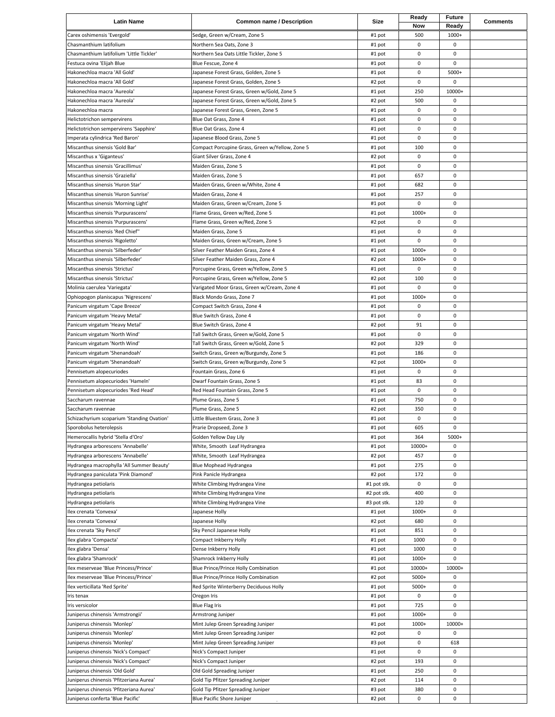| <b>Latin Name</b>                                               | <b>Common name / Description</b>                                     | Size             | Ready       | <b>Future</b>    | <b>Comments</b> |
|-----------------------------------------------------------------|----------------------------------------------------------------------|------------------|-------------|------------------|-----------------|
|                                                                 |                                                                      |                  | Now         | Ready            |                 |
| Carex oshimensis 'Evergold'                                     | Sedge, Green w/Cream, Zone 5                                         | #1 pot           | 500         | 1000+            |                 |
| Chasmanthium latifolium                                         | Northern Sea Oats, Zone 3                                            | #1 pot           | 0           | 0                |                 |
| Chasmanthium latifolium 'Little Tickler'                        | Northern Sea Oats Little Tickler, Zone 5                             | #1 pot           | 0           | 0                |                 |
| Festuca ovina 'Elijah Blue                                      | Blue Fescue, Zone 4<br>Japanese Forest Grass, Golden, Zone 5         | #1 pot           | 0<br>0      | 0<br>5000+       |                 |
| Hakonechloa macra 'All Gold'<br>Hakonechloa macra 'All Gold'    | Japanese Forest Grass, Golden, Zone 5                                | #1 pot<br>#2 pot | 0           | $\mathbf 0$      |                 |
| Hakonechloa macra 'Aureola'                                     | Japanese Forest Grass, Green w/Gold, Zone 5                          | #1 pot           | 250         | 10000+           |                 |
| Hakonechloa macra 'Aureola'                                     | Japanese Forest Grass, Green w/Gold, Zone 5                          | #2 pot           | 500         | 0                |                 |
| Hakonechloa macra                                               | Japanese Forest Grass, Green, Zone 5                                 | #1 pot           | 0           | 0                |                 |
| Helictotrichon sempervirens                                     | Blue Oat Grass, Zone 4                                               | #1 pot           | 0           | 0                |                 |
| Helictotrichon sempervirens 'Sapphire'                          | Blue Oat Grass, Zone 4                                               | #1 pot           | 0           | 0                |                 |
| Imperata cylindrica 'Red Baron'                                 | Japanese Blood Grass, Zone 5                                         | #1 pot           | 0           | 0                |                 |
| Miscanthus sinensis 'Gold Bar'                                  | Compact Porcupine Grass, Green w/Yellow, Zone 5                      | #1 pot           | 100         | $\mathbf 0$      |                 |
| Miscanthus x 'Giganteus'                                        | Giant Silver Grass, Zone 4                                           | #2 pot           | 0           | 0                |                 |
| Miscanthus sinensis 'Gracillimus'                               | Maiden Grass, Zone 5                                                 | #1 pot           | 0           | 0                |                 |
| Miscanthus sinensis 'Graziella'                                 | Maiden Grass, Zone 5                                                 | #1 pot           | 657         | 0                |                 |
| Miscanthus sinensis 'Huron Star'                                | Maiden Grass, Green w/White, Zone 4                                  | #1 pot           | 682         | $\mathbf 0$      |                 |
| Miscanthus sinensis 'Huron Sunrise'                             | Maiden Grass, Zone 4                                                 | #1 pot           | 257         | 0                |                 |
| Miscanthus sinensis 'Morning Light'                             | Maiden Grass, Green w/Cream, Zone 5                                  | #1 pot           | 0           | 0                |                 |
| Miscanthus sinensis 'Purpurascens'                              | Flame Grass, Green w/Red, Zone 5                                     | #1 pot           | 1000+       | $\mathbf 0$      |                 |
| Miscanthus sinensis 'Purpurascens'                              | Flame Grass, Green w/Red, Zone 5                                     | #2 pot           | 0           | 0                |                 |
| Miscanthus sinensis 'Red Chief"                                 | Maiden Grass, Zone 5                                                 | #1 pot           | 0           | $\mathbf 0$      |                 |
| Miscanthus sinensis 'Rigoletto'                                 | Maiden Grass, Green w/Cream, Zone 5                                  | #1 pot           | 0           | $\pmb{0}$        |                 |
| Miscanthus sinensis 'Silberfeder'                               | Silver Feather Maiden Grass, Zone 4                                  | #1 pot           | 1000+       | $\mathbf 0$      |                 |
| Miscanthus sinensis 'Silberfeder'                               | Silver Feather Maiden Grass, Zone 4                                  | #2 pot           | 1000+       | 0                |                 |
| Miscanthus sinensis 'Strictus'                                  | Porcupine Grass, Green w/Yellow, Zone 5                              | #1 pot           | 0           | 0                |                 |
| Miscanthus sinensis 'Strictus'                                  | Porcupine Grass, Green w/Yellow, Zone 5                              | #2 pot           | 100         | 0                |                 |
| Molinia caerulea 'Variegata'                                    | Varigated Moor Grass, Green w/Cream, Zone 4                          | #1 pot           | 0           | 0                |                 |
| Ophiopogon planiscapus 'Nigrescens'                             | Black Mondo Grass, Zone 7                                            | #1 pot           | 1000+       | 0                |                 |
| Panicum virgatum 'Cape Breeze'                                  | Compact Switch Grass, Zone 4                                         | #1 pot           | 0           | 0                |                 |
| Panicum virgatum 'Heavy Metal'                                  | Blue Switch Grass, Zone 4                                            | #1 pot           | 0           | $\mathbf 0$      |                 |
| Panicum virgatum 'Heavy Metal'<br>Panicum virgatum 'North Wind' | Blue Switch Grass, Zone 4<br>Tall Switch Grass, Green w/Gold, Zone 5 | #2 pot           | 91<br>0     | 0<br>$\mathbf 0$ |                 |
| Panicum virgatum 'North Wind'                                   | Tall Switch Grass, Green w/Gold, Zone 5                              | #1 pot<br>#2 pot | 329         | $\mathbf 0$      |                 |
| Panicum virgatum 'Shenandoah'                                   | Switch Grass, Green w/Burgundy, Zone 5                               | #1 pot           | 186         | 0                |                 |
| Panicum virgatum 'Shenandoah'                                   | Switch Grass, Green w/Burgundy, Zone 5                               | #2 pot           | 1000+       | $\mathbf 0$      |                 |
| Pennisetum alopecuriodes                                        | Fountain Grass, Zone 6                                               | #1 pot           | 0           | 0                |                 |
| Pennisetum alopecuriodes 'Hameln'                               | Dwarf Fountain Grass, Zone 5                                         | #1 pot           | 83          | 0                |                 |
| Pennisetum alopecuriodes 'Red Head'                             | Red Head Fountain Grass, Zone 5                                      | #1 pot           | 0           | 0                |                 |
| Saccharum ravennae                                              | Plume Grass, Zone 5                                                  | #1 pot           | 750         | 0                |                 |
| Saccharum ravennae                                              | Plume Grass, Zone 5                                                  | #2 pot           | 350         | 0                |                 |
| Schizachyrium scoparium 'Standing Ovation'                      | Little Bluestem Grass, Zone 3                                        | #1 pot           | 0           | 0                |                 |
| Sporobolus heterolepsis                                         | Prarie Dropseed, Zone 3                                              | #1 pot           | 605         | 0                |                 |
| Hemerocallis hybrid 'Stella d'Oro'                              | Golden Yellow Day Lily                                               | #1 pot           | 364         | 5000+            |                 |
| Hydrangea arborescens 'Annabelle'                               | White, Smooth Leaf Hydrangea                                         | #1 pot           | 10000+      | 0                |                 |
| Hydrangea arborescens 'Annabelle'                               | White, Smooth Leaf Hydrangea                                         | #2 pot           | 457         | 0                |                 |
| Hydrangea macrophylla 'All Summer Beauty'                       | Blue Mophead Hydrangea                                               | #1 pot           | 275         | 0                |                 |
| Hydrangea paniculata 'Pink Diamond'                             | Pink Panicle Hydrangea                                               | #2 pot           | 172         | $\pmb{0}$        |                 |
| Hydrangea petiolaris                                            | White Climbing Hydrangea Vine                                        | #1 pot stk.      | 0           | 0                |                 |
| Hydrangea petiolaris                                            | White Climbing Hydrangea Vine                                        | #2 pot stk.      | 400         | 0                |                 |
| Hydrangea petiolaris                                            | White Climbing Hydrangea Vine                                        | #3 pot stk.      | 120         | 0                |                 |
| Ilex crenata 'Convexa'                                          | Japanese Holly                                                       | #1 pot           | 1000+       | 0                |                 |
| Ilex crenata 'Convexa'                                          | Japanese Holly                                                       | #2 pot           | 680         | 0                |                 |
| Ilex crenata 'Sky Pencil'<br>Ilex glabra 'Compacta'             | Sky Pencil Japanese Holly                                            | #1 pot           | 851<br>1000 | 0<br>0           |                 |
| Ilex glabra 'Densa'                                             | Compact Inkberry Holly<br>Dense Inkberry Holly                       | #1 pot<br>#1 pot | 1000        | 0                |                 |
| Ilex glabra 'Shamrock'                                          | Shamrock Inkberry Holly                                              | #1 pot           | 1000+       | $\mathsf 0$      |                 |
| Ilex meserveae 'Blue Princess/Prince'                           | Blue Prince/Prince Holly Combination                                 | #1 pot           | 10000+      | 10000+           |                 |
| Ilex meserveae 'Blue Princess/Prince'                           | Blue Prince/Prince Holly Combination                                 | #2 pot           | 5000+       | 0                |                 |
| Ilex verticillata 'Red Sprite'                                  | Red Sprite Winterberry Deciduous Holly                               | #1 pot           | 5000+       | 0                |                 |
| Iris tenax                                                      | Oregon Iris                                                          | #1 pot           | 0           | 0                |                 |
| Iris versicolor                                                 | <b>Blue Flag Iris</b>                                                | #1 pot           | 725         | 0                |                 |
| Juniperus chinensis 'Armstrongii'                               | Armstrong Juniper                                                    | #1 pot           | 1000+       | 0                |                 |
| Juniperus chinensis 'Monlep'                                    | Mint Julep Green Spreading Juniper                                   | #1 pot           | 1000+       | 10000+           |                 |
| Juniperus chinensis 'Monlep'                                    | Mint Julep Green Spreading Juniper                                   | #2 pot           | 0           | 0                |                 |
| Juniperus chinensis 'Monlep'                                    | Mint Julep Green Spreading Juniper                                   | #3 pot           | 0           | 618              |                 |
| Juniperus chinensis 'Nick's Compact'                            | Nick's Compact Juniper                                               | #1 pot           | 0           | 0                |                 |
| Juniperus chinensis 'Nick's Compact'                            | Nick's Compact Juniper                                               | #2 pot           | 193         | 0                |                 |
| Juniperus chinensis 'Old Gold'                                  | Old Gold Spreading Juniper                                           | #1 pot           | 250         | 0                |                 |
| Juniperus chinensis 'Pfitzeriana Aurea'                         | Gold Tip Pfitzer Spreading Juniper                                   | #2 pot           | 114         | 0                |                 |
| Juniperus chinensis 'Pfitzeriana Aurea'                         | Gold Tip Pfitzer Spreading Juniper                                   | #3 pot           | 380         | 0                |                 |
| Juniperus conferta 'Blue Pacific'                               | Blue Pacific Shore Juniper                                           | #2 pot           | 0           | 0                |                 |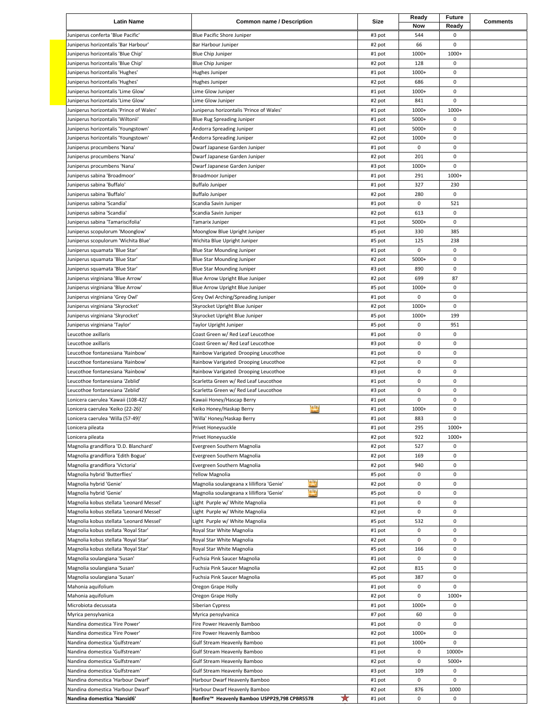| <b>Latin Name</b>                                                    | <b>Common name / Description</b>                                                                     | Size             | Ready<br>Now         | Future<br>Ready | <b>Comments</b> |
|----------------------------------------------------------------------|------------------------------------------------------------------------------------------------------|------------------|----------------------|-----------------|-----------------|
| Juniperus conferta 'Blue Pacific'                                    | Blue Pacific Shore Juniper                                                                           | #3 pot           | 544                  | 0               |                 |
| Juniperus horizontalis 'Bar Harbour'                                 | Bar Harbour Juniper                                                                                  | #2 pot           | 66                   | 0               |                 |
| Juniperus horizontalis 'Blue Chip'                                   | <b>Blue Chip Juniper</b>                                                                             | #1 pot           | 1000+                | 1000+           |                 |
| Juniperus horizontalis 'Blue Chip'                                   | <b>Blue Chip Juniper</b>                                                                             | #2 pot           | 128                  | 0               |                 |
| Juniperus horizontalis 'Hughes'                                      | Hughes Juniper                                                                                       | #1 pot           | 1000+                | 0               |                 |
| Juniperus horizontalis 'Hughes'                                      | Hughes Juniper                                                                                       | #2 pot           | 686                  | 0               |                 |
| Juniperus horizontalis 'Lime Glow'                                   | Lime Glow Juniper                                                                                    | #1 pot           | 1000+                | $\mathbf 0$     |                 |
| Juniperus horizontalis 'Lime Glow'                                   | Lime Glow Juniper                                                                                    | #2 pot           | 841                  | 0               |                 |
| Juniperus horizontalis 'Prince of Wales'                             | Juniperus horizontalis 'Prince of Wales'                                                             | #1 pot           | 1000+                | 1000+           |                 |
| Juniperus horizontalis 'Wiltonii'                                    | <b>Blue Rug Spreading Juniper</b>                                                                    | #1 pot           | 5000+                | 0               |                 |
| Juniperus horizontalis 'Youngstown'                                  | Andorra Spreading Juniper                                                                            | #1 pot           | 5000+                | $\mathsf 0$     |                 |
| Juniperus horizontalis 'Youngstown'                                  | Andorra Spreading Juniper                                                                            | #2 pot           | 1000+<br>0           | 0<br>0          |                 |
| Juniperus procumbens 'Nana'<br>Juniperus procumbens 'Nana'           | Dwarf Japanese Garden Juniper<br>Dwarf Japanese Garden Juniper                                       | #1 pot<br>#2 pot | 201                  | $\mathbf 0$     |                 |
| Juniperus procumbens 'Nana'                                          | Dwarf Japanese Garden Juniper                                                                        | #3 pot           | 1000+                | 0               |                 |
| Juniperus sabina 'Broadmoor'                                         | Broadmoor Juniper                                                                                    | #1 pot           | 291                  | 1000+           |                 |
| Juniperus sabina 'Buffalo'                                           | <b>Buffalo Juniper</b>                                                                               | #1 pot           | 327                  | 230             |                 |
| Juniperus sabina 'Buffalo'                                           | <b>Buffalo Juniper</b>                                                                               | #2 pot           | 280                  | 0               |                 |
| Juniperus sabina 'Scandia'                                           | Scandia Savin Juniper                                                                                | #1 pot           | $\mathsf 0$          | 521             |                 |
| Juniperus sabina 'Scandia'                                           | Scandia Savin Juniper                                                                                | #2 pot           | 613                  | 0               |                 |
| Juniperus sabina 'Tamariscifolia'                                    | Tamarix Juniper                                                                                      | #1 pot           | 5000+                | 0               |                 |
| Juniperus scopulorum 'Moonglow'                                      | Moonglow Blue Upright Juniper                                                                        | #5 pot           | 330                  | 385             |                 |
| Juniperus scopulorum 'Wichita Blue'                                  | Wichita Blue Upright Juniper                                                                         | #5 pot           | 125                  | 238             |                 |
| Juniperus squamata 'Blue Star'                                       | Blue Star Mounding Juniper                                                                           | #1 pot           | $\mathsf 0$          | 0               |                 |
| Juniperus squamata 'Blue Star'                                       | Blue Star Mounding Juniper                                                                           | #2 pot           | 5000+                | $\mathbf 0$     |                 |
| Juniperus squamata 'Blue Star'                                       | Blue Star Mounding Juniper                                                                           | #3 pot           | 890                  | 0               |                 |
| Juniperus virginiana 'Blue Arrow'                                    | Blue Arrow Upright Blue Juniper                                                                      | #2 pot           | 699                  | 87              |                 |
| Juniperus virginiana 'Blue Arrow'                                    | Blue Arrow Upright Blue Juniper                                                                      | #5 pot           | 1000+                | 0               |                 |
| Juniperus virginiana 'Grey Owl'                                      | Grey Owl Arching/Spreading Juniper                                                                   | #1 pot           | 0                    | 0               |                 |
| Juniperus virginiana 'Skyrocket'<br>Juniperus virginiana 'Skyrocket' | Skyrocket Upright Blue Juniper<br>Skyrocket Upright Blue Juniper                                     | #2 pot<br>#5 pot | 1000+<br>1000+       | 0<br>199        |                 |
| Juniperus virginiana 'Taylor'                                        | Taylor Upright Juniper                                                                               | #5 pot           | $\mathsf 0$          | 951             |                 |
| Leucothoe axillaris                                                  | Coast Green w/ Red Leaf Leucothoe                                                                    | #1 pot           | 0                    | $\pmb{0}$       |                 |
| Leucothoe axillaris                                                  | Coast Green w/ Red Leaf Leucothoe                                                                    | #3 pot           | $\mathsf 0$          | $\mathbf 0$     |                 |
| Leucothoe fontanesiana 'Rainbow'                                     | Rainbow Varigated Drooping Leucothoe                                                                 | #1 pot           | $\mathsf 0$          | $\pmb{0}$       |                 |
| Leucothoe fontanesiana 'Rainbow'                                     | Rainbow Varigated Drooping Leucothoe                                                                 | #2 pot           | $\mathsf 0$          | 0               |                 |
| Leucothoe fontanesiana 'Rainbow'                                     | Rainbow Varigated Drooping Leucothoe                                                                 | #3 pot           | 0                    | 0               |                 |
| Leucothoe fontanesiana 'Zeblid'                                      | Scarletta Green w/ Red Leaf Leucothoe                                                                | #1 pot           | 0                    | 0               |                 |
| Leucothoe fontanesiana 'Zeblid'                                      | Scarletta Green w/ Red Leaf Leucothoe                                                                | #3 pot           | $\mathsf 0$          | $\mathbf 0$     |                 |
| Lonicera caerulea 'Kawaii (108-42)'                                  | Kawaii Honey/Hascap Berry                                                                            | #1 pot           | 0                    | $\pmb{0}$       |                 |
| Lonicera caerulea 'Keiko (22-26)'                                    | $\overline{\mathbf{u}}$<br>Keiko Honey/Haskap Berry                                                  | #1 pot           | 1000+                | 0               |                 |
| Lonicera caerulea 'Willa (57-49)'                                    | 'Willa' Honey/Haskap Berry                                                                           | #1 pot           | 883                  | 0               |                 |
| Lonicera pileata                                                     | Privet Honeysuckle                                                                                   | #1 pot           | 295                  | 1000+           |                 |
| Lonicera pileata                                                     | Privet Honeysuckle                                                                                   | #2 pot           | 922                  | 1000+           |                 |
| Magnolia grandiflora 'D.D. Blanchard'                                | Evergreen Southern Magnolia                                                                          | #2 pot           | 527                  | $\mathsf 0$     |                 |
| Magnolia grandiflora 'Edith Bogue'                                   | Evergreen Southern Magnolia                                                                          | #2 pot           | 169                  | 0               |                 |
| Magnolia grandiflora 'Victoria'                                      | Evergreen Southern Magnolia                                                                          | #2 pot           | 940                  | 0               |                 |
| Magnolia hybrid 'Butterflies'                                        | Yellow Magnolia<br><b>A</b>                                                                          | #5 pot           | $\mathsf 0$<br>0     | 0<br>0          |                 |
| Magnolia hybrid 'Genie'<br>Magnolia hybrid 'Genie'                   | Magnolia soulangeana x lilliflora 'Genie'<br><b>Als</b><br>Magnolia soulangeana x lilliflora 'Genie' | #2 pot<br>#5 pot | $\mathsf 0$          | 0               |                 |
| Magnolia kobus stellata 'Leonard Messel'                             | Light Purple w/ White Magnolia                                                                       | #1 pot           | 0                    | 0               |                 |
| Magnolia kobus stellata 'Leonard Messel'                             | Light Purple w/ White Magnolia                                                                       | #2 pot           | $\mathsf 0$          | 0               |                 |
| Magnolia kobus stellata 'Leonard Messel'                             | Light Purple w/ White Magnolia                                                                       | #5 pot           | 532                  | 0               |                 |
| Magnolia kobus stellata 'Royal Star'                                 | Royal Star White Magnolia                                                                            | #1 pot           | $\mathsf 0$          | 0               |                 |
| Magnolia kobus stellata 'Royal Star'                                 | Royal Star White Magnolia                                                                            | #2 pot           | 0                    | 0               |                 |
| Magnolia kobus stellata 'Royal Star'                                 | Royal Star White Magnolia                                                                            | #5 pot           | 166                  | 0               |                 |
| Magnolia soulangiana 'Susan'                                         | Fuchsia Pink Saucer Magnolia                                                                         | #1 pot           | 0                    | 0               |                 |
| Magnolia soulangiana 'Susan'                                         | Fuchsia Pink Saucer Magnolia                                                                         | #2 pot           | 815                  | 0               |                 |
| Magnolia soulangiana 'Susan'                                         | Fuchsia Pink Saucer Magnolia                                                                         | #5 pot           | 387                  | $\mathbf 0$     |                 |
| Mahonia aquifolium                                                   | Oregon Grape Holly                                                                                   | #1 pot           | 0                    | 0               |                 |
| Mahonia aquifolium                                                   | Oregon Grape Holly                                                                                   | #2 pot           | $\mathsf 0$          | 1000+           |                 |
| Microbiota decussata                                                 | Siberian Cypress                                                                                     | #1 pot           | 1000+                | 0               |                 |
| Myrica pensylvanica                                                  | Myrica pensylvanica                                                                                  | #7 pot           | 60                   | 0               |                 |
| Nandina domestica 'Fire Power'                                       | Fire Power Heavenly Bamboo                                                                           | #1 pot           | $\mathsf 0$          | 0               |                 |
| Nandina domestica 'Fire Power'                                       | Fire Power Heavenly Bamboo                                                                           | #2 pot           | 1000+                | 0               |                 |
| Nandina domestica 'Gulfstream'<br>Nandina domestica 'Gulfstream'     | Gulf Stream Heavenly Bamboo<br>Gulf Stream Heavenly Bamboo                                           | #1 pot           | 1000+<br>$\mathsf 0$ | 0<br>10000+     |                 |
| Nandina domestica 'Gulfstream'                                       | Gulf Stream Heavenly Bamboo                                                                          | #1 pot<br>#2 pot | 0                    | 5000+           |                 |
| Nandina domestica 'Gulfstream'                                       | Gulf Stream Heavenly Bamboo                                                                          | #3 pot           | 109                  | $\pmb{0}$       |                 |
| Nandina domestica 'Harbour Dwarf'                                    | Harbour Dwarf Heavenly Bamboo                                                                        | #1 pot           | 0                    | 0               |                 |
| Nandina domestica 'Harbour Dwarf'                                    | Harbour Dwarf Heavenly Bamboo                                                                        | #2 pot           | 876                  | 1000            |                 |
| Nandina domestica 'Nansid6'                                          | ★<br>Bonfire™ Heavenly Bamboo USPP29,798 CPBR5578                                                    | #1 pot           | $\mathsf{O}\xspace$  | 0               |                 |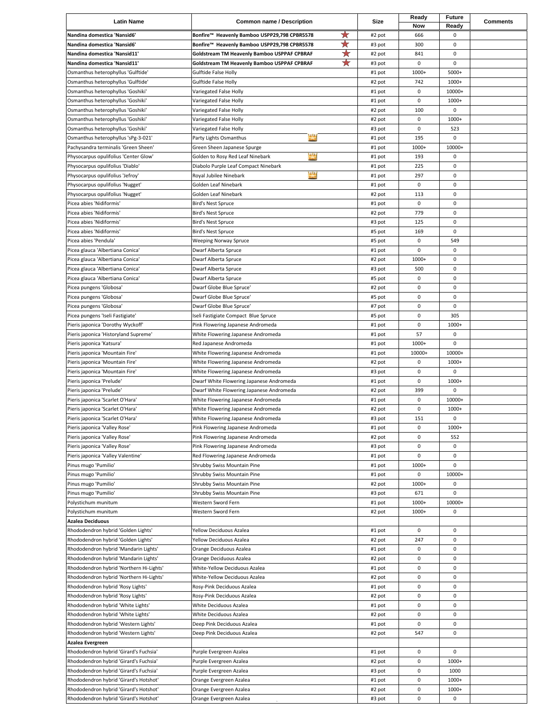| <b>Latin Name</b>                                                            | <b>Common name / Description</b>                                                                           | Size             | Ready       | <b>Future</b> | <b>Comments</b> |
|------------------------------------------------------------------------------|------------------------------------------------------------------------------------------------------------|------------------|-------------|---------------|-----------------|
|                                                                              | ★                                                                                                          |                  | Now         | Ready<br>0    |                 |
| Nandina domestica 'Nansid6'<br>Nandina domestica 'Nansid6'                   | Bonfire™ Heavenly Bamboo USPP29,798 CPBR5578<br>$\bigstar$<br>Bonfire™ Heavenly Bamboo USPP29,798 CPBR5578 | #2 pot<br>#3 pot | 666<br>300  | $\mathsf 0$   |                 |
| Nandina domestica 'Nansid11'                                                 | 斗<br>Goldstream TM Heavenly Bamboo USPPAF CPBRAF                                                           | #2 pot           | 841         | 0             |                 |
| Nandina domestica 'Nansid11'                                                 | ★<br>Goldstream TM Heavenly Bamboo USPPAF CPBRAF                                                           | #3 pot           | 0           | 0             |                 |
| Osmanthus heterophyllus 'Gulftide'                                           | Gulftide False Holly                                                                                       | #1 pot           | 1000+       | 5000+         |                 |
| Osmanthus heterophyllus 'Gulftide'                                           | Gulftide False Holly                                                                                       | #2 pot           | 742         | 1000+         |                 |
| Osmanthus heterophyllus 'Goshiki'                                            | Variegated False Holly                                                                                     | #1 pot           | 0           | 10000+        |                 |
| Osmanthus heterophyllus 'Goshiki'                                            | Variegated False Holly                                                                                     | #1 pot           | 0           | 1000+         |                 |
| Osmanthus heterophyllus 'Goshiki'                                            | Variegated False Holly                                                                                     | #2 pot           | 100         | 0             |                 |
| Osmanthus heterophyllus 'Goshiki'                                            | Variegated False Holly                                                                                     | #2 pot           | 0           | 1000+         |                 |
| Osmanthus heterophyllus 'Goshiki'                                            | Variegated False Holly<br>n i                                                                              | #3 pot           | $\pmb{0}$   | 523           |                 |
| Osmanthus heterophyllus 'sPg-3-021'                                          | Party Lights Osmanthus                                                                                     | #1 pot           | 195         | 0             |                 |
| Pachysandra terminalis 'Green Sheen'                                         | Green Sheen Japanese Spurge<br><b>MA</b>                                                                   | #1 pot           | 1000+       | 10000+        |                 |
| Physocarpus opulifolius 'Center Glow'<br>Physocarpus opulifolius 'Diablo'    | Golden to Rosy Red Leaf Ninebark<br>Diabolo Purple Leaf Compact Ninebark                                   | #1 pot<br>#1 pot | 193<br>225  | 0<br>0        |                 |
| Physocarpus opulifolius 'Jefroy'                                             | <b>ASA</b><br>Royal Jubilee Ninebark                                                                       | #1 pot           | 297         | 0             |                 |
| Physocarpus opulifolius 'Nugget'                                             | Golden Leaf Ninebark                                                                                       | #1 pot           | 0           | 0             |                 |
| Physocarpus opulifolius 'Nugget'                                             | Golden Leaf Ninebark                                                                                       | #2 pot           | 113         | 0             |                 |
| Picea abies 'Nidiformis'                                                     | Bird's Nest Spruce                                                                                         | #1 pot           | 0           | $\mathsf 0$   |                 |
| Picea abies 'Nidiformis'                                                     | Bird's Nest Spruce                                                                                         | #2 pot           | 779         | $\mathsf 0$   |                 |
| Picea abies 'Nidiformis'                                                     | Bird's Nest Spruce                                                                                         | #3 pot           | 125         | 0             |                 |
| Picea abies 'Nidiformis'                                                     | Bird's Nest Spruce                                                                                         | #5 pot           | 169         | 0             |                 |
| Picea abies 'Pendula'                                                        | <b>Weeping Norway Spruce</b>                                                                               | #5 pot           | $\mathsf 0$ | 549           |                 |
| Picea glauca 'Albertiana Conica'                                             | Dwarf Alberta Spruce                                                                                       | #1 pot           | $\mathsf 0$ | 0             |                 |
| Picea glauca 'Albertiana Conica'                                             | Dwarf Alberta Spruce                                                                                       | #2 pot           | 1000+       | 0             |                 |
| Picea glauca 'Albertiana Conica'                                             | Dwarf Alberta Spruce                                                                                       | #3 pot           | 500         | $\mathsf 0$   |                 |
| Picea glauca 'Albertiana Conica'                                             | Dwarf Alberta Spruce                                                                                       | #5 pot           | $\mathsf 0$ | $\mathsf 0$   |                 |
| Picea pungens 'Globosa'                                                      | Dwarf Globe Blue Spruce'                                                                                   | #2 pot           | 0           | 0             |                 |
| Picea pungens 'Globosa'                                                      | Dwarf Globe Blue Spruce'                                                                                   | #5 pot           | 0           | 0             |                 |
| Picea pungens 'Globosa'                                                      | Dwarf Globe Blue Spruce'                                                                                   | #7 pot           | 0           | $\mathbf 0$   |                 |
| Picea pungens 'Iseli Fastigiate'                                             | Iseli Fastigiate Compact Blue Spruce                                                                       | #5 pot           | 0           | 305           |                 |
| Pieris japonica 'Dorothy Wyckoff'                                            | Pink Flowering Japanese Andromeda                                                                          | #1 pot           | $\mathsf 0$ | 1000+         |                 |
| Pieris japonica 'Historyland Supreme'                                        | White Flowering Japanese Andromeda                                                                         | #1 pot           | 57          | 0             |                 |
| Pieris japonica 'Katsura'                                                    | Red Japanese Andromeda                                                                                     | #1 pot           | 1000+       | 0             |                 |
| Pieris japonica 'Mountain Fire'                                              | White Flowering Japanese Andromeda                                                                         | #1 pot           | 10000+      | 10000+        |                 |
| Pieris japonica 'Mountain Fire'                                              | White Flowering Japanese Andromeda                                                                         | #2 pot           | 0<br>0      | 1000+<br>0    |                 |
| Pieris japonica 'Mountain Fire'<br>Pieris japonica 'Prelude'                 | White Flowering Japanese Andromeda<br>Dwarf White Flowering Japanese Andromeda                             | #3 pot<br>#1 pot | 0           | 1000+         |                 |
| Pieris japonica 'Prelude'                                                    | Dwarf White Flowering Japanese Andromeda                                                                   | #2 pot           | 399         | 0             |                 |
| Pieris japonica 'Scarlet O'Hara'                                             | White Flowering Japanese Andromeda                                                                         | #1 pot           | 0           | 10000+        |                 |
| Pieris japonica 'Scarlet O'Hara'                                             | White Flowering Japanese Andromeda                                                                         | #2 pot           | 0           | 1000+         |                 |
| Pieris japonica 'Scarlet O'Hara'                                             | White Flowering Japanese Andromeda                                                                         | #3 pot           | 151         | 0             |                 |
| Pieris japonica 'Valley Rose'                                                | Pink Flowering Japanese Andromeda                                                                          | #1 pot           | 0           | 1000+         |                 |
| Pieris japonica 'Valley Rose'                                                | Pink Flowering Japanese Andromeda                                                                          | #2 pot           | 0           | 552           |                 |
| Pieris japonica 'Valley Rose'                                                | Pink Flowering Japanese Andromeda                                                                          | #3 pot           | $\pmb{0}$   | $\pmb{0}$     |                 |
| Pieris japonica 'Valley Valentine'                                           | Red Flowering Japanese Andromeda                                                                           | #1 pot           | 0           | 0             |                 |
| Pinus mugo 'Pumilio'                                                         | Shrubby Swiss Mountain Pine                                                                                | #1 pot           | 1000+       | 0             |                 |
| Pinus mugo 'Pumilio'                                                         | Shrubby Swiss Mountain Pine                                                                                | #1 pot           | 0           | 10000+        |                 |
| Pinus mugo 'Pumilio'                                                         | Shrubby Swiss Mountain Pine                                                                                | #2 pot           | 1000+       | 0             |                 |
| Pinus mugo 'Pumilio'                                                         | Shrubby Swiss Mountain Pine                                                                                | #3 pot           | 671         | 0             |                 |
| Polystichum munitum                                                          | Western Sword Fern                                                                                         | #1 pot           | 1000+       | 10000+        |                 |
| Polystichum munitum                                                          | Western Sword Fern                                                                                         | #2 pot           | 1000+       | 0             |                 |
| <b>Azalea Deciduous</b>                                                      |                                                                                                            |                  |             |               |                 |
| Rhododendron hybrid 'Golden Lights'                                          | Yellow Deciduous Azalea                                                                                    | #1 pot           | 0           | 0             |                 |
| Rhododendron hybrid 'Golden Lights'<br>Rhododendron hybrid 'Mandarin Lights' | Yellow Deciduous Azalea<br>Orange Deciduous Azalea                                                         | #2 pot<br>#1 pot | 247<br>0    | 0<br>0        |                 |
| Rhododendron hybrid 'Mandarin Lights'                                        | Orange Deciduous Azalea                                                                                    | #2 pot           | 0           | 0             |                 |
| Rhododendron hybrid 'Northern Hi-Lights'                                     | White-Yellow Deciduous Azalea                                                                              | #1 pot           | 0           | 0             |                 |
| Rhododendron hybrid 'Northern Hi-Lights'                                     | White-Yellow Deciduous Azalea                                                                              | #2 pot           | 0           | 0             |                 |
| Rhododendron hybrid 'Rosy Lights'                                            | Rosy-Pink Deciduous Azalea                                                                                 | #1 pot           | 0           | 0             |                 |
| Rhododendron hybrid 'Rosy Lights'                                            | Rosy-Pink Deciduous Azalea                                                                                 | #2 pot           | 0           | 0             |                 |
| Rhododendron hybrid 'White Lights'                                           | White Deciduous Azalea                                                                                     | #1 pot           | 0           | 0             |                 |
| Rhododendron hybrid 'White Lights'                                           | White Deciduous Azalea                                                                                     | #2 pot           | 0           | 0             |                 |
| Rhododendron hybrid 'Western Lights'                                         | Deep Pink Deciduous Azalea                                                                                 | #1 pot           | 0           | 0             |                 |
| Rhododendron hybrid 'Western Lights'                                         | Deep Pink Deciduous Azalea                                                                                 | #2 pot           | 547         | 0             |                 |
| Azalea Evergreen                                                             |                                                                                                            |                  |             |               |                 |
| Rhododendron hybrid 'Girard's Fuchsia'                                       | Purple Evergreen Azalea                                                                                    | #1 pot           | 0           | 0             |                 |
| Rhododendron hybrid 'Girard's Fuchsia'                                       | Purple Evergreen Azalea                                                                                    | #2 pot           | 0           | 1000+         |                 |
| Rhododendron hybrid 'Girard's Fuchsia'                                       | Purple Evergreen Azalea                                                                                    | #3 pot           | 0           | 1000          |                 |
| Rhododendron hybrid 'Girard's Hotshot'                                       | Orange Evergreen Azalea                                                                                    | #1 pot           | 0           | 1000+         |                 |
| Rhododendron hybrid 'Girard's Hotshot'                                       | Orange Evergreen Azalea                                                                                    | #2 pot           | 0           | 1000+         |                 |
| Rhododendron hybrid 'Girard's Hotshot'                                       | Orange Evergreen Azalea                                                                                    | #3 pot           | 0           | 0             |                 |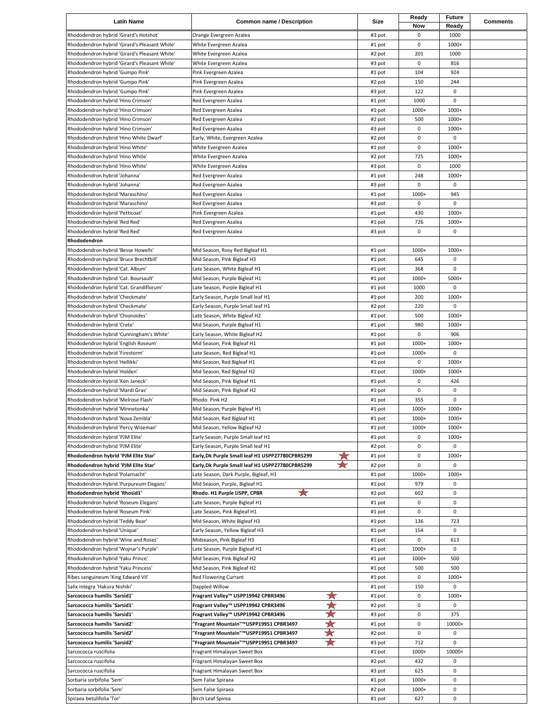| <b>Latin Name</b>                                                            | <b>Common name / Description</b>                                                       | Size             | Ready<br>Now | <b>Future</b><br>Ready | <b>Comments</b> |
|------------------------------------------------------------------------------|----------------------------------------------------------------------------------------|------------------|--------------|------------------------|-----------------|
| Rhododendron hybrid 'Girard's Hotshot'                                       | Orange Evergreen Azalea                                                                | #3 pot           | 0            | 1000                   |                 |
| Rhododendron hybrid 'Girard's Pleasant White'                                | White Evergreen Azalea                                                                 | #1 pot           | 0            | 1000+                  |                 |
| Rhododendron hybrid 'Girard's Pleasant White'                                | White Evergreen Azalea                                                                 | #2 pot           | 201          | 1000                   |                 |
| Rhododendron hybrid 'Girard's Pleasant White'                                | White Evergreen Azalea                                                                 | #3 pot           | 0            | 816                    |                 |
| Rhododendron hybrid 'Gumpo Pink'                                             | Pink Evergreen Azalea                                                                  | #1 pot           | 104          | 924                    |                 |
| Rhododendron hybrid 'Gumpo Pink'                                             | Pink Evergreen Azalea                                                                  | #2 pot           | 150          | 244                    |                 |
| Rhododendron hybrid 'Gumpo Pink'                                             | Pink Evergreen Azalea                                                                  | #3 pot           | 122          | 0                      |                 |
| Rhododendron hybrid 'Hino Crimson'                                           | Red Evergreen Azalea                                                                   | #1 pot           | 1000         | 0                      |                 |
| Rhododendron hybrid 'Hino Crimson'                                           | Red Evergreen Azalea                                                                   | #1 pot           | 1000+        | 1000+                  |                 |
| Rhododendron hybrid 'Hino Crimson'                                           | Red Evergreen Azalea                                                                   | #2 pot           | 500          | 1000+                  |                 |
| Rhododendron hybrid 'Hino Crimson'<br>Rhododendron hybrid 'Hino White Dwarf' | Red Evergreen Azalea<br>Early, White, Evergreen Azalea                                 | #3 pot<br>#2 pot | 0<br>0       | 1000+<br>0             |                 |
| Rhododendron hybrid 'Hino White'                                             | White Evergreen Azalea                                                                 | #1 pot           | 0            | 1000+                  |                 |
| Rhododendron hybrid 'Hino White'                                             | White Evergreen Azalea                                                                 | #2 pot           | 725          | $1000+$                |                 |
| Rhododendron hybrid 'Hino White'                                             | White Evergreen Azalea                                                                 | #3 pot           | 0            | 1000                   |                 |
| Rhododendron hybrid 'Johanna'                                                | Red Evergreen Azalea                                                                   | #1 pot           | 248          | 1000+                  |                 |
| Rhododendron hybrid 'Johanna'                                                | Red Evergreen Azalea                                                                   | #3 pot           | 0            | 0                      |                 |
| Rhododendron hybrid 'Maraschino'                                             | Red Evergreen Azalea                                                                   | #1 pot           | 1000+        | 945                    |                 |
| Rhododendron hybrid 'Maraschino'                                             | Red Evergreen Azalea                                                                   | #3 pot           | 0            | 0                      |                 |
| Rhododendron hybrid 'Petticoat'                                              | Pink Evergreen Azalea                                                                  | #1 pot           | 430          | 1000+                  |                 |
| Rhododendron hybrid 'Red Red'                                                | Red Evergreen Azalea                                                                   | #1 pot           | 726          | 1000+                  |                 |
| Rhododendron hybrid 'Red Red'                                                | Red Evergreen Azalea                                                                   | #3 pot           | 0            | 0                      |                 |
| Rhododendron                                                                 |                                                                                        |                  |              |                        |                 |
| Rhododendron hybrid 'Besse Howells'                                          | Mid Season, Rosy Red Bigleaf H1                                                        | #1 pot           | 1000+        | 1000+                  |                 |
| Rhododendron hybrid 'Bruce Brechtbill'                                       | Mid Season, Pink Bigleaf H3                                                            | #1 pot           | 645          | 0                      |                 |
| Rhododendron hybrid 'Cat. Album'                                             | Late Season, White Bigleaf H1                                                          | #1 pot           | 368          | 0                      |                 |
| Rhododendron hybrid 'Cat. Boursault'                                         | Mid Season, Purple Bigleaf H1                                                          | #1 pot           | 1000+        | $5000+$                |                 |
| Rhododendron hybrid 'Cat. Grandiflorum'                                      | Late Season, Purple Bigleaf H1                                                         | #1 pot           | 1000         | 0                      |                 |
| Rhododendron hybrid 'Checkmate'                                              | Early Season, Purple Small leaf H1                                                     | #1 pot           | 200<br>220   | 1000+<br>0             |                 |
| Rhododendron hybrid 'Checkmate'<br>Rhododendron hybrid 'Chionoides'          | Early Season, Purple Small leaf H1<br>Late Season, White Bigleaf H2                    | #2 pot<br>#1 pot | 500          | 1000+                  |                 |
| Rhododendron hybrid 'Crete'                                                  | Mid Season, Purple Bigleaf H1                                                          | #1 pot           | 980          | 1000+                  |                 |
| Rhododendron hybrid 'Cunningham's White'                                     | Early Season, White Bigleaf H2                                                         | #1 pot           | 0            | 906                    |                 |
| Rhododendron hybrid 'English Roseum'                                         | Mid Season, Pink Bigleaf H1                                                            | #1 pot           | 1000+        | 1000+                  |                 |
| Rhododendron hybrid 'Firestorm'                                              | Late Season, Red Bigleaf H1                                                            | #1 pot           | 1000+        | 0                      |                 |
| Rhododendron hybrid 'Hellikki'                                               | Mid Season, Red Bigleaf H1                                                             | #1 pot           | 0            | 1000+                  |                 |
| Rhododendron hybrid 'Holden'                                                 | Mid Season, Red Bigleaf H2                                                             | #1 pot           | 1000+        | 1000+                  |                 |
| Rhododendron hybrid 'Ken Janeck'                                             | Mid Season, Pink Bigleaf H1                                                            | #1 pot           | 0            | 426                    |                 |
| Rhododendron hybrid 'Mardi Gras'                                             | Mid Season, Pink Bigleaf H2                                                            | #1 pot           | 0            | 0                      |                 |
| Rhododendron hybrid 'Melrose Flash'                                          | Rhodo. Pink H2                                                                         | #1 pot           | 355          | 0                      |                 |
| Rhododendron hybrid 'Minnetonka'                                             | Mid Season, Purple Bigleaf H1                                                          | #1 pot           | 1000+        | 1000+                  |                 |
| Rhododendron hybrid 'Nova Zembla'                                            | Mid Season, Red Bigleaf H1                                                             | #1 pot           | 1000+        | 1000+                  |                 |
| Rhododendron hybrid 'Percy Wiseman'                                          | Mid Season, Yellow Bigleaf H2                                                          | #1 pot           | 1000+        | 1000+                  |                 |
| Rhododendron hybrid 'PJM Elite'                                              | Early Season, Purple Small leaf H1                                                     | #1 pot           | 0            | 1000+                  |                 |
| Rhododendron hybrid 'PJM Elite'<br>Rhododendron hybrid 'PJM Elite Star'      | Early Season, Purple Small leaf H1<br>Early, Dk Purple Small leaf H1 USPP27780CPBR5299 | #2 pot<br>#1 pot | 0<br>0       | 0<br>1000+             |                 |
| Rhododendron hybrid 'PJM Elite Star'                                         | ★<br>★<br>Early, Dk Purple Small leaf H1 USPP27780CPBR5299                             | #2 pot           | 0            | 0                      |                 |
| Rhododendron hybrid 'Polarnacht'                                             | Late Season, Dark Purple, Bigleaf, H1                                                  | #1 pot           | 1000+        | 1000+                  |                 |
| Rhododendron hybrid 'Purpureum Elegans'                                      | Mid Season, Purple, Bigleaf H1                                                         | #1 pot           | 979          | 0                      |                 |
| Rhododendron hybrid 'Rhosid1'                                                | ☆<br>Rhodo. H1 Purple USPP, CPBR                                                       | #2 pot           | 602          | 0                      |                 |
| Rhododendron hybrid 'Roseum Elegans'                                         | Late Season, Purple Bigleaf H1                                                         | #1 pot           | 0            | 0                      |                 |
| Rhododendron hybrid 'Roseum Pink'                                            | Late Season, Pink Bigleaf H1                                                           | #1 pot           | 0            | 0                      |                 |
| Rhododendron hybrid 'Teddy Bear'                                             | Mid Season, White Bigleaf H3                                                           | #1 pot           | 136          | 723                    |                 |
| Rhododendron hybrid 'Unique'                                                 | Early Season, Yellow Bigleaf H3                                                        | #1 pot           | 154          | 0                      |                 |
| Rhododendron hybrid 'Wine and Roses'                                         | Midseason, Pink Bigleaf H3                                                             | #1 pot           | 0            | 613                    |                 |
| Rhododendron hybrid 'Wojnar's Purple'                                        | Late Season, Purple Bigleaf H1                                                         | #1 pot           | 1000+        | 0                      |                 |
| Rhododendron hybrid 'Yaku Prince'                                            | Mid Season, Pink Bigleaf H2                                                            | #1 pot           | 1000+        | 500                    |                 |
| Rhododendron hybrid 'Yaku Princess'                                          | Mid Season, Pink Bigleaf H2                                                            | #1 pot           | 500<br>0     | 500<br>1000+           |                 |
| Ribes sanguineum 'King Edward VII'<br>Salix integra 'Hakura Nishiki'         | Red Flowering Currant<br>Dappled Willow                                                | #1 pot<br>#1 pot | 150          | 0                      |                 |
| Sarcococca humilis 'Sarsid1'                                                 | ★<br>Fragrant Valley™ USPP19942 CPBR3496                                               | #1 pot           | 0            | 1000+                  |                 |
| Sarcococca humilis 'Sarsid1'                                                 | ★<br>Fragrant Valley™ USPP19942 CPBR3496                                               | #2 pot           | 0            | 0                      |                 |
| Sarcococca humilis 'Sarsid1'                                                 | X<br>Fragrant Valley™ USPP19942 CPBR3496                                               | #3 pot           | 0            | 375                    |                 |
| Sarcococca humilis 'Sarsid2'                                                 | ☆<br>'Fragrant Mountain"™USPP19951 CPBR3497                                            | #1 pot           | 0            | 10000+                 |                 |
| Sarcococca humilis 'Sarsid2'                                                 | ★<br>Fragrant Mountain"™USPP19951 CPBR3497                                             | #2 pot           | 0            | 0                      |                 |
| Sarcococca humilis 'Sarsid2'                                                 | ₩<br>'Fragrant Mountain"™USPP19951 CPBR3497                                            | #3 pot           | 712          | 0                      |                 |
| Sarcococca ruscifolia                                                        | Fragrant Himalayan Sweet Box                                                           | #1 pot           | 1000+        | 10000+                 |                 |
| Sarcococca ruscifolia                                                        | Fragrant Himalayan Sweet Box                                                           | #2 pot           | 432          | 0                      |                 |
| Sarcococca ruscifolia                                                        | Fragrant Himalayan Sweet Box                                                           | #3 pot           | 625          | 0                      |                 |
| Sorbaria sorbifolia 'Sem'                                                    | Sem False Spiraea                                                                      | #1 pot           | 1000+        | 0                      |                 |
| Sorbaria sorbifolia 'Sem'                                                    | Sem False Spiraea                                                                      | #2 pot           | 1000+        | 0                      |                 |
| Spiraea betulifolia 'Tor'                                                    | Birch Leaf Spirea                                                                      | #1 pot           | 627          | 0                      |                 |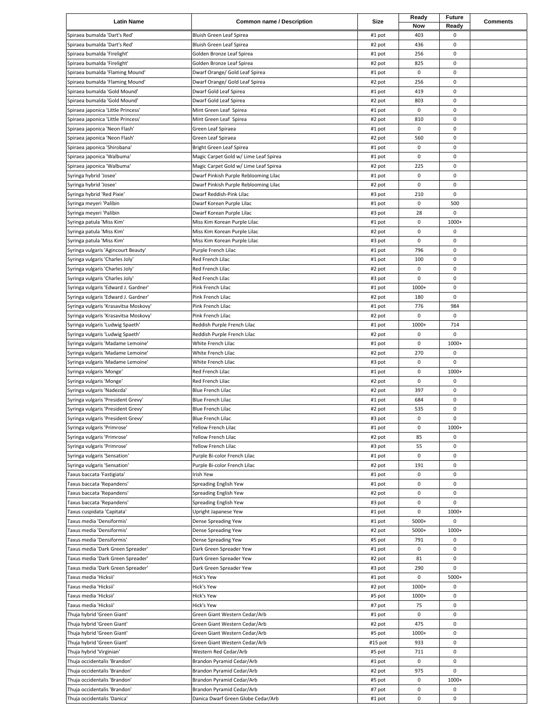| <b>Latin Name</b>                                                        | <b>Common name / Description</b>                                  | Size             | Ready<br>Now | <b>Future</b><br>Ready | <b>Comments</b> |
|--------------------------------------------------------------------------|-------------------------------------------------------------------|------------------|--------------|------------------------|-----------------|
| Spiraea bumalda 'Dart's Red'                                             | Bluish Green Leaf Spirea                                          | #1 pot           | 403          | 0                      |                 |
| Spiraea bumalda 'Dart's Red'                                             | Bluish Green Leaf Spirea                                          | #2 pot           | 436          | 0                      |                 |
| Spiraea bumalda 'Firelight'                                              | Golden Bronze Leaf Spirea                                         | #1 pot           | 256          | 0                      |                 |
| Spiraea bumalda 'Firelight'                                              | Golden Bronze Leaf Spirea                                         | #2 pot           | 825          | 0                      |                 |
| Spiraea bumalda 'Flaming Mound'                                          | Dwarf Orange/ Gold Leaf Spirea                                    | #1 pot           | 0            | $\pmb{0}$              |                 |
| Spiraea bumalda 'Flaming Mound'                                          | Dwarf Orange/ Gold Leaf Spirea                                    | #2 pot           | 256          | 0                      |                 |
| Spiraea bumalda 'Gold Mound'                                             | Dwarf Gold Leaf Spirea                                            | #1 pot           | 419          | 0                      |                 |
| Spiraea bumalda 'Gold Mound'                                             | Dwarf Gold Leaf Spirea                                            | #2 pot           | 803          | 0                      |                 |
| Spiraea japonica 'Little Princess'                                       | Mint Green Leaf Spirea                                            | #1 pot           | 0            | 0                      |                 |
| Spiraea japonica 'Little Princess'                                       | Mint Green Leaf Spirea                                            | #2 pot           | 810          | 0                      |                 |
| Spiraea japonica 'Neon Flash'                                            | Green Leaf Spiraea                                                | #1 pot           | 0            | 0                      |                 |
| Spiraea japonica 'Neon Flash'                                            | Green Leaf Spiraea                                                | #2 pot           | 560          | $\pmb{0}$              |                 |
| Spiraea japonica 'Shirobana'                                             | Bright Green Leaf Spirea                                          | #1 pot           | 0            | 0                      |                 |
| Spiraea japonica 'Walbuma'                                               | Magic Carpet Gold w/ Lime Leaf Spirea                             | #1 pot           | 0            | 0                      |                 |
| Spiraea japonica 'Walbuma'                                               | Magic Carpet Gold w/ Lime Leaf Spirea                             | #2 pot           | 225          | 0                      |                 |
| Syringa hybrid 'Josee'                                                   | Dwarf Pinkish Purple Reblooming Lilac                             | #1 pot           | 0            | 0                      |                 |
| Syringa hybrid 'Josee'<br>Syringa hybrid 'Red Pixie'                     | Dwarf Pinkish Purple Reblooming Lilac<br>Dwarf Reddish-Pink Lilac | #2 pot           | 0<br>210     | 0<br>0                 |                 |
| Syringa meyeri 'Palibin                                                  | Dwarf Korean Purple Lilac                                         | #3 pot<br>#1 pot | 0            | 500                    |                 |
| Syringa meyeri 'Palibin                                                  | Dwarf Korean Purple Lilac                                         | #3 pot           | 28           | 0                      |                 |
| Syringa patula 'Miss Kim'                                                | Miss Kim Korean Purple Lilac                                      | #1 pot           | 0            | 1000+                  |                 |
| Syringa patula 'Miss Kim'                                                | Miss Kim Korean Purple Lilac                                      | #2 pot           | 0            | 0                      |                 |
| Syringa patula 'Miss Kim'                                                | Miss Kim Korean Purple Lilac                                      | #3 pot           | 0            | 0                      |                 |
| Syringa vulgaris 'Agincourt Beauty'                                      | Purple French Lilac                                               | #1 pot           | 796          | 0                      |                 |
| Syringa vulgaris 'Charles Joly'                                          | Red French Lilac                                                  | #1 pot           | 100          | 0                      |                 |
| Syringa vulgaris 'Charles Joly'                                          | Red French Lilac                                                  | #2 pot           | 0            | 0                      |                 |
| Syringa vulgaris 'Charles Joly'                                          | Red French Lilac                                                  | #3 pot           | 0            | 0                      |                 |
| Syringa vulgaris 'Edward J. Gardner'                                     | Pink French Lilac                                                 | #1 pot           | 1000+        | 0                      |                 |
| Syringa vulgaris 'Edward J. Gardner'                                     | Pink French Lilac                                                 | #2 pot           | 180          | 0                      |                 |
| Syringa vulgaris 'Krasavitsa Moskovy'                                    | Pink French Lilac                                                 | #1 pot           | 776          | 984                    |                 |
| Syringa vulgaris 'Krasavitsa Moskovy'                                    | Pink French Lilac                                                 | #2 pot           | 0            | 0                      |                 |
| Syringa vulgaris 'Ludwig Spaeth'                                         | Reddish Purple French Lilac                                       | #1 pot           | 1000+        | 714                    |                 |
| Syringa vulgaris 'Ludwig Spaeth'                                         | Reddish Purple French Lilac                                       | #2 pot           | 0            | 0                      |                 |
| Syringa vulgaris 'Madame Lemoine'                                        | White French Lilac                                                | #1 pot           | 0            | 1000+                  |                 |
| Syringa vulgaris 'Madame Lemoine'                                        | White French Lilac                                                | #2 pot           | 270          | 0                      |                 |
| Syringa vulgaris 'Madame Lemoine'                                        | White French Lilac                                                | #3 pot           | 0            | 0                      |                 |
| Syringa vulgaris 'Monge'                                                 | Red French Lilac                                                  | #1 pot           | 0            | 1000+                  |                 |
| Syringa vulgaris 'Monge'                                                 | Red French Lilac                                                  | #2 pot           | 0            | 0                      |                 |
| Syringa vulgaris 'Nadezda'                                               | <b>Blue French Lilac</b><br><b>Blue French Lilac</b>              | #2 pot           | 397          | 0                      |                 |
| Syringa vulgaris 'President Grevy'<br>Syringa vulgaris 'President Grevy' | Blue French Lilac                                                 | #1 pot<br>#2 pot | 684<br>535   | 0<br>0                 |                 |
| Syringa vulgaris 'President Grevy'                                       | Blue French Lilac                                                 | #3 pot           | 0            | $\mathbf 0$            |                 |
| Syringa vulgaris 'Primrose'                                              | Yellow French Lilac                                               | #1 pot           | 0            | 1000+                  |                 |
| Syringa vulgaris 'Primrose'                                              | Yellow French Lilac                                               | #2 pot           | 85           | 0                      |                 |
| Syringa vulgaris 'Primrose'                                              | Yellow French Lilac                                               | #3 pot           | 55           | 0                      |                 |
| Syringa vulgaris 'Sensation'                                             | Purple Bi-color French Lilac                                      | #1 pot           | 0            | 0                      |                 |
| Syringa vulgaris 'Sensation'                                             | Purple Bi-color French Lilac                                      | #2 pot           | 191          | 0                      |                 |
| Taxus baccata 'Fastigiata'                                               | <b>Irish Yew</b>                                                  | #1 pot           | 0            | 0                      |                 |
| Taxus baccata 'Repandens'                                                | Spreading English Yew                                             | #1 pot           | 0            | 0                      |                 |
| Taxus baccata 'Repandens'                                                | Spreading English Yew                                             | #2 pot           | 0            | 0                      |                 |
| Taxus baccata 'Repandens'                                                | Spreading English Yew                                             | #3 pot           | 0            | 0                      |                 |
| Taxus cuspidata 'Capitata'                                               | Upright Japanese Yew                                              | #1 pot           | 0            | 1000+                  |                 |
| Taxus media 'Densiformis'                                                | Dense Spreading Yew                                               | #1 pot           | 5000+        | 0                      |                 |
| Taxus media 'Densiformis'                                                | Dense Spreading Yew                                               | #2 pot           | 5000+        | 1000+                  |                 |
| Taxus media 'Densiformis'                                                | Dense Spreading Yew                                               | #5 pot           | 791          | 0                      |                 |
| Taxus media 'Dark Green Spreader'                                        | Dark Green Spreader Yew                                           | #1 pot           | 0            | 0                      |                 |
| Taxus media 'Dark Green Spreader'                                        | Dark Green Spreader Yew                                           | #2 pot           | 81           | 0<br>0                 |                 |
| Taxus media 'Dark Green Spreader'<br>Taxus media 'Hicksii'               | Dark Green Spreader Yew<br>Hick's Yew                             | #3 pot           | 290<br>0     | 5000+                  |                 |
| Taxus media 'Hicksii'                                                    | Hick's Yew                                                        | #1 pot<br>#2 pot | 1000+        | 0                      |                 |
| Taxus media 'Hicksii'                                                    | Hick's Yew                                                        | #5 pot           | 1000+        | 0                      |                 |
| Taxus media 'Hicksii'                                                    | Hick's Yew                                                        | #7 pot           | 75           | 0                      |                 |
| Thuja hybrid 'Green Giant'                                               | Green Giant Western Cedar/Arb                                     | #1 pot           | 0            | 0                      |                 |
| Thuja hybrid 'Green Giant'                                               | Green Giant Western Cedar/Arb                                     | #2 pot           | 475          | 0                      |                 |
| Thuja hybrid 'Green Giant'                                               | Green Giant Western Cedar/Arb                                     | #5 pot           | 1000+        | 0                      |                 |
| Thuja hybrid 'Green Giant'                                               | Green Giant Western Cedar/Arb                                     | #15 pot          | 933          | 0                      |                 |
| Thuja hybrid 'Virginian'                                                 | Western Red Cedar/Arb                                             | #5 pot           | 711          | 0                      |                 |
| Thuja occidentalis 'Brandon'                                             | Brandon Pyramid Cedar/Arb                                         | #1 pot           | 0            | 0                      |                 |
| Thuja occidentalis 'Brandon'                                             | Brandon Pyramid Cedar/Arb                                         | #2 pot           | 975          | 0                      |                 |
| Thuja occidentalis 'Brandon'                                             | Brandon Pyramid Cedar/Arb                                         | #5 pot           | 0            | 1000+                  |                 |
| Thuja occidentalis 'Brandon'                                             | Brandon Pyramid Cedar/Arb                                         | #7 pot           | 0            | 0                      |                 |
| Thuja occidentalis 'Danica'                                              | Danica Dwarf Green Globe Cedar/Arb                                | #1 pot           | 0            | $\mathsf 0$            |                 |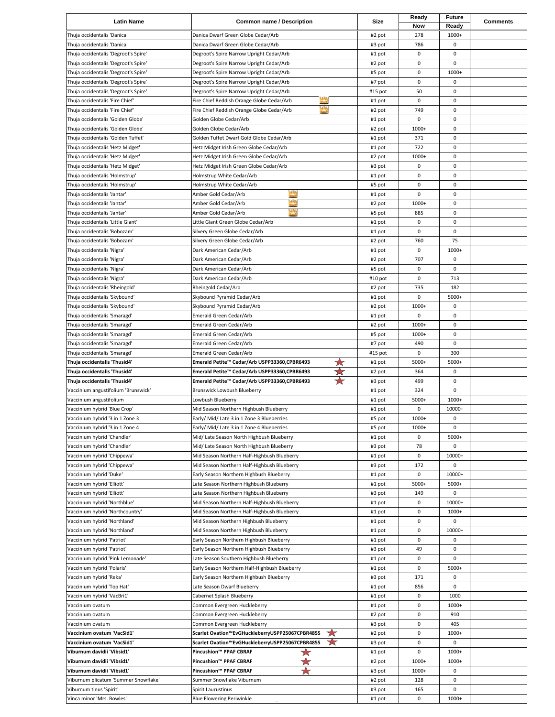| <b>Latin Name</b>                                               | <b>Common name / Description</b>                                                                                                                                                                                                                         | Size             | Ready<br>Now | Future<br>Ready | <b>Comments</b> |
|-----------------------------------------------------------------|----------------------------------------------------------------------------------------------------------------------------------------------------------------------------------------------------------------------------------------------------------|------------------|--------------|-----------------|-----------------|
| Thuja occidentalis 'Danica'                                     | Danica Dwarf Green Globe Cedar/Arb                                                                                                                                                                                                                       | #2 pot           | 278          | 1000+           |                 |
| Thuja occidentalis 'Danica'                                     | Danica Dwarf Green Globe Cedar/Arb                                                                                                                                                                                                                       | #3 pot           | 786          | 0               |                 |
| Thuja occidentalis 'Degroot's Spire'                            | Degroot's Spire Narrow Upright Cedar/Arb                                                                                                                                                                                                                 | #1 pot           | 0            | 0               |                 |
| Thuja occidentalis 'Degroot's Spire'                            | Degroot's Spire Narrow Upright Cedar/Arb                                                                                                                                                                                                                 | #2 pot           | $\mathsf 0$  | 0               |                 |
| Thuja occidentalis 'Degroot's Spire'                            | Degroot's Spire Narrow Upright Cedar/Arb                                                                                                                                                                                                                 | #5 pot           | 0            | 1000+           |                 |
| Thuja occidentalis 'Degroot's Spire'                            | Degroot's Spire Narrow Upright Cedar/Arb                                                                                                                                                                                                                 | #7 pot           | 0            | 0               |                 |
| Thuja occidentalis 'Degroot's Spire'                            | Degroot's Spire Narrow Upright Cedar/Arb                                                                                                                                                                                                                 | #15 pot          | 50           | 0               |                 |
| Thuja occidentalis 'Fire Chief'                                 | <b>LESS</b><br>Fire Chief Reddish Orange Globe Cedar/Arb                                                                                                                                                                                                 | #1 pot           | $\mathsf 0$  | 0               |                 |
| Thuja occidentalis 'Fire Chief'                                 | ne e<br>Fire Chief Reddish Orange Globe Cedar/Arb                                                                                                                                                                                                        | #2 pot           | 749          | 0               |                 |
| Thuja occidentalis 'Golden Globe'                               | Golden Globe Cedar/Arb                                                                                                                                                                                                                                   | #1 pot           | $\mathsf 0$  | 0               |                 |
| Thuja occidentalis 'Golden Globe'                               | Golden Globe Cedar/Arb                                                                                                                                                                                                                                   | #2 pot           | 1000+        | 0               |                 |
| Thuja occidentalis 'Golden Tuffet'                              | Golden Tuffet Dwarf Gold Globe Cedar/Arb                                                                                                                                                                                                                 | #1 pot           | 371          | 0               |                 |
| Thuja occidentalis 'Hetz Midget'                                | Hetz Midget Irish Green Globe Cedar/Arb                                                                                                                                                                                                                  | #1 pot           | 722          | 0               |                 |
| Thuja occidentalis 'Hetz Midget'                                | Hetz Midget Irish Green Globe Cedar/Arb                                                                                                                                                                                                                  | #2 pot           | 1000+        | 0               |                 |
| Thuja occidentalis 'Hetz Midget'                                | Hetz Midget Irish Green Globe Cedar/Arb                                                                                                                                                                                                                  | #3 pot           | 0            | 0               |                 |
| Thuja occidentalis 'Holmstrup'                                  | Holmstrup White Cedar/Arb                                                                                                                                                                                                                                | #1 pot           | 0            | 0               |                 |
| Thuja occidentalis 'Holmstrup'                                  | Holmstrup White Cedar/Arb                                                                                                                                                                                                                                | #5 pot           | 0            | 0               |                 |
| Thuja occidentalis 'Jantar'                                     | e e estados de estados e en eleva en eleva en eleva en eleva en eleva en eleva en eleva en eleva en eleva en e<br>Estados e estados e estados e en eleva en eleva en eleva en eleva en eleva en eleva en eleva en eleva en eleva<br>Amber Gold Cedar/Arb | #1 pot           | $\mathsf 0$  | 0               |                 |
| Thuja occidentalis 'Jantar'                                     | m<br>Amber Gold Cedar/Arb                                                                                                                                                                                                                                | #2 pot           | 1000+        | 0               |                 |
| Thuja occidentalis 'Jantar'                                     | <b>A</b><br>Amber Gold Cedar/Arb                                                                                                                                                                                                                         | #5 pot           | 885          | 0               |                 |
| Thuja occidentalis 'Little Giant'                               | Little Giant Green Globe Cedar/Arb                                                                                                                                                                                                                       | #1 pot           | 0            | 0               |                 |
| Thuja occidentalis 'Bobozam'                                    | Silvery Green Globe Cedar/Arb                                                                                                                                                                                                                            | #1 pot           | $\mathsf 0$  | 0               |                 |
| Thuja occidentalis 'Bobozam'                                    | Silvery Green Globe Cedar/Arb                                                                                                                                                                                                                            | #2 pot           | 760          | 75              |                 |
| Thuja occidentalis 'Nigra'                                      | Dark American Cedar/Arb                                                                                                                                                                                                                                  | #1 pot           | $\mathsf 0$  | 1000+           |                 |
| Thuja occidentalis 'Nigra'                                      | Dark American Cedar/Arb                                                                                                                                                                                                                                  | #2 pot           | 707          | 0               |                 |
| Thuja occidentalis 'Nigra'                                      | Dark American Cedar/Arb                                                                                                                                                                                                                                  | #5 pot           | 0            | 0               |                 |
| Thuja occidentalis 'Nigra'                                      | Dark American Cedar/Arb                                                                                                                                                                                                                                  | #10 pot          | $\mathsf 0$  | 713             |                 |
| Thuja occidentalis 'Rheingold'                                  | Rheingold Cedar/Arb                                                                                                                                                                                                                                      | #2 pot           | 735          | 182             |                 |
| Thuja occidentalis 'Skybound'                                   | Skybound Pyramid Cedar/Arb                                                                                                                                                                                                                               | #1 pot           | $\mathsf 0$  | 5000+           |                 |
| Thuja occidentalis 'Skybound'                                   | Skybound Pyramid Cedar/Arb                                                                                                                                                                                                                               | #2 pot           | 1000+        | 0               |                 |
| Thuja occidentalis 'Smaragd'                                    | Emerald Green Cedar/Arb                                                                                                                                                                                                                                  | #1 pot           | $\mathsf 0$  | 0               |                 |
| Thuja occidentalis 'Smaragd'                                    | Emerald Green Cedar/Arb                                                                                                                                                                                                                                  | #2 pot           | 1000+        | 0               |                 |
| Thuja occidentalis 'Smaragd'                                    | Emerald Green Cedar/Arb                                                                                                                                                                                                                                  | #5 pot           | 1000+        | 0               |                 |
| Thuja occidentalis 'Smaragd'                                    | Emerald Green Cedar/Arb                                                                                                                                                                                                                                  | #7 pot           | 490          | 0               |                 |
| Thuja occidentalis 'Smaragd'                                    | Emerald Green Cedar/Arb                                                                                                                                                                                                                                  | #15 pot          | $\mathsf 0$  | 300             |                 |
|                                                                 |                                                                                                                                                                                                                                                          |                  |              |                 |                 |
| Thuja occidentalis 'Thusid4'                                    | ★<br>Emerald Petite™ Cedar/Arb USPP33360,CPBR6493                                                                                                                                                                                                        | #1 pot           | 5000+        | 5000+           |                 |
| Thuja occidentalis 'Thusid4'                                    | ₩<br>Emerald Petite™ Cedar/Arb USPP33360,CPBR6493                                                                                                                                                                                                        | #2 pot           | 364          | 0               |                 |
| Thuja occidentalis 'Thusid4'                                    | ★<br>Emerald Petite™ Cedar/Arb USPP33360,CPBR6493                                                                                                                                                                                                        | #3 pot           | 499          | 0               |                 |
| Vaccinium angustifolium 'Brunswick'                             | Brunswick Lowbush Blueberry                                                                                                                                                                                                                              | #1 pot           | 324          | 0               |                 |
| Vaccinium angustifolium                                         | Lowbush Blueberry                                                                                                                                                                                                                                        | #1 pot           | 5000+        | 1000+           |                 |
| Vaccinium hybrid 'Blue Crop'                                    | Mid Season Northern Highbush Blueberry                                                                                                                                                                                                                   | #1 pot           | 0            | 10000+          |                 |
| Vaccinium hybrid '3 in 1 Zone 3                                 | Early/ Mid/ Late 3 in 1 Zone 3 Blueberries                                                                                                                                                                                                               | #5 pot           | 1000+        | 0               |                 |
| Vaccinium hybrid '3 in 1 Zone 4                                 | Early/ Mid/ Late 3 in 1 Zone 4 Blueberries                                                                                                                                                                                                               | #5 pot           | 1000+        | 0               |                 |
| Vaccinium hybrid 'Chandler'                                     | Mid/ Late Season North Highbush Blueberry                                                                                                                                                                                                                | #1 pot           | 0            | 5000+           |                 |
| Vaccinium hybrid 'Chandler'                                     | Mid/ Late Season North Highbush Blueberry                                                                                                                                                                                                                | #3 pot           | 78           | 0               |                 |
| Vaccinium hybrid 'Chippewa'                                     | Mid Season Northern Half-Highbush Blueberry                                                                                                                                                                                                              | #1 pot           | $\pmb{0}$    | 10000+          |                 |
| Vaccinium hybrid 'Chippewa'                                     | Mid Season Northern Half-Highbush Blueberry                                                                                                                                                                                                              | #3 pot           | 172          | 0               |                 |
| Vaccinium hybrid 'Duke'                                         | Early Season Northern Highbush Blueberry                                                                                                                                                                                                                 | #1 pot           | 0            | 10000+          |                 |
| Vaccinium hybrid 'Elliott'                                      | Late Season Northern Highbush Blueberry                                                                                                                                                                                                                  | #1 pot           | 5000+        | 5000+           |                 |
| Vaccinium hybrid 'Elliott'                                      | Late Season Northern Highbush Blueberry                                                                                                                                                                                                                  | #3 pot           | 149          | 0               |                 |
| Vaccinium hybrid 'Northblue'                                    | Mid Season Northern Half-Highbush Blueberry                                                                                                                                                                                                              | #1 pot           | 0            | 10000+          |                 |
| Vaccinium hybrid 'Northcountry'                                 | Mid Season Northern Half-Highbush Blueberry                                                                                                                                                                                                              | #1 pot           | 0            | 1000+           |                 |
| Vaccinium hybrid 'Northland'                                    | Mid Season Northern Highbush Blueberry                                                                                                                                                                                                                   | #1 pot           | 0            | 0               |                 |
| Vaccinium hybrid 'Northland'                                    | Mid Season Northern Highbush Blueberry                                                                                                                                                                                                                   | #1 pot           | 0            | 10000+          |                 |
| Vaccinium hybrid 'Patriot'                                      | Early Season Northern Highbush Blueberry                                                                                                                                                                                                                 | #1 pot           | 0            | 0               |                 |
| Vaccinium hybrid 'Patriot'                                      | Early Season Northern Highbush Blueberry                                                                                                                                                                                                                 | #3 pot           | 49           | 0               |                 |
| Vaccinium hybrid 'Pink Lemonade'                                | Late Season Southern Highbush Blueberry                                                                                                                                                                                                                  | #1 pot           | 0            | 0               |                 |
| Vaccinium hybrid 'Polaris'                                      | Early Season Northern Half-Highbush Blueberry                                                                                                                                                                                                            | #1 pot           | 0            | 5000+           |                 |
| Vaccinium hybrid 'Reka'                                         | Early Season Northern Highbush Blueberry                                                                                                                                                                                                                 | #3 pot           | 171          | 0               |                 |
| Vaccinium hybrid 'Top Hat'                                      | Late Season Dwarf Blueberry                                                                                                                                                                                                                              | #1 pot           | 856          | 0               |                 |
| Vaccinium hybrid 'VacBri1'                                      | Cabernet Splash Blueberry                                                                                                                                                                                                                                | #1 pot           | 0            | 1000            |                 |
| Vaccinium ovatum                                                | Common Evergreen Huckleberry                                                                                                                                                                                                                             | #1 pot           | 0            | 1000+           |                 |
| Vaccinium ovatum                                                | Common Evergreen Huckleberry                                                                                                                                                                                                                             | #2 pot           | 0            | 910             |                 |
| Vaccinium ovatum                                                | Common Evergreen Huckleberry                                                                                                                                                                                                                             | #3 pot           | 0            | 405             |                 |
| Vaccinium ovatum 'VacSid1'                                      | ★<br>Scarlet Ovation™EvGHuckleberryUSPP25067CPBR4855                                                                                                                                                                                                     | #2 pot           | 0            | 1000+           |                 |
| Vaccinium ovatum 'VacSid1'                                      | ★<br>Scarlet Ovation™EvGHuckleberryUSPP25067CPBR4855                                                                                                                                                                                                     | #3 pot           | 0            | 0               |                 |
| Viburnum davidii 'Vibsid1'                                      | ☆<br>Pincushion™ PPAF CBRAF                                                                                                                                                                                                                              | #1 pot           | $\pmb{0}$    | 1000+           |                 |
| Viburnum davidii 'Vibsid1'                                      | Pincushion™ PPAF CBRAF                                                                                                                                                                                                                                   | #2 pot           | 1000+        | 1000+           |                 |
| Viburnum davidii 'Vibsid1'                                      | Pincushion™ PPAF CBRAF                                                                                                                                                                                                                                   | #3 pot           | 1000+        | 0               |                 |
| Viburnum plicatum 'Summer Snowflake'<br>Viburnum tinus 'Spirit' | Summer Snowflake Viburnum<br>Spirit Laurustinus                                                                                                                                                                                                          | #2 pot<br>#3 pot | 128<br>165   | 0<br>0          |                 |